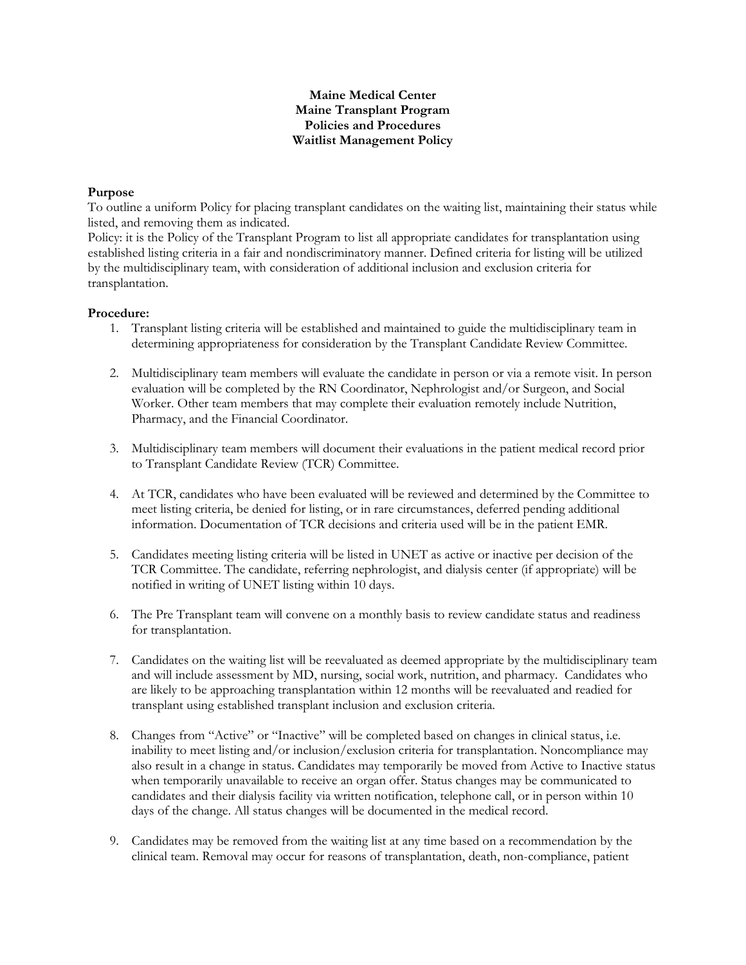## **Maine Medical Center Maine Transplant Program Policies and Procedures Waitlist Management Policy**

## **Purpose**

To outline a uniform Policy for placing transplant candidates on the waiting list, maintaining their status while listed, and removing them as indicated.

Policy: it is the Policy of the Transplant Program to list all appropriate candidates for transplantation using established listing criteria in a fair and nondiscriminatory manner. Defined criteria for listing will be utilized by the multidisciplinary team, with consideration of additional inclusion and exclusion criteria for transplantation.

## **Procedure:**

- 1. Transplant listing criteria will be established and maintained to guide the multidisciplinary team in determining appropriateness for consideration by the Transplant Candidate Review Committee.
- 2. Multidisciplinary team members will evaluate the candidate in person or via a remote visit. In person evaluation will be completed by the RN Coordinator, Nephrologist and/or Surgeon, and Social Worker. Other team members that may complete their evaluation remotely include Nutrition, Pharmacy, and the Financial Coordinator.
- 3. Multidisciplinary team members will document their evaluations in the patient medical record prior to Transplant Candidate Review (TCR) Committee.
- 4. At TCR, candidates who have been evaluated will be reviewed and determined by the Committee to meet listing criteria, be denied for listing, or in rare circumstances, deferred pending additional information. Documentation of TCR decisions and criteria used will be in the patient EMR.
- 5. Candidates meeting listing criteria will be listed in UNET as active or inactive per decision of the TCR Committee. The candidate, referring nephrologist, and dialysis center (if appropriate) will be notified in writing of UNET listing within 10 days.
- 6. The Pre Transplant team will convene on a monthly basis to review candidate status and readiness for transplantation.
- 7. Candidates on the waiting list will be reevaluated as deemed appropriate by the multidisciplinary team and will include assessment by MD, nursing, social work, nutrition, and pharmacy. Candidates who are likely to be approaching transplantation within 12 months will be reevaluated and readied for transplant using established transplant inclusion and exclusion criteria.
- 8. Changes from "Active" or "Inactive" will be completed based on changes in clinical status, i.e. inability to meet listing and/or inclusion/exclusion criteria for transplantation. Noncompliance may also result in a change in status. Candidates may temporarily be moved from Active to Inactive status when temporarily unavailable to receive an organ offer. Status changes may be communicated to candidates and their dialysis facility via written notification, telephone call, or in person within 10 days of the change. All status changes will be documented in the medical record.
- 9. Candidates may be removed from the waiting list at any time based on a recommendation by the clinical team. Removal may occur for reasons of transplantation, death, non-compliance, patient